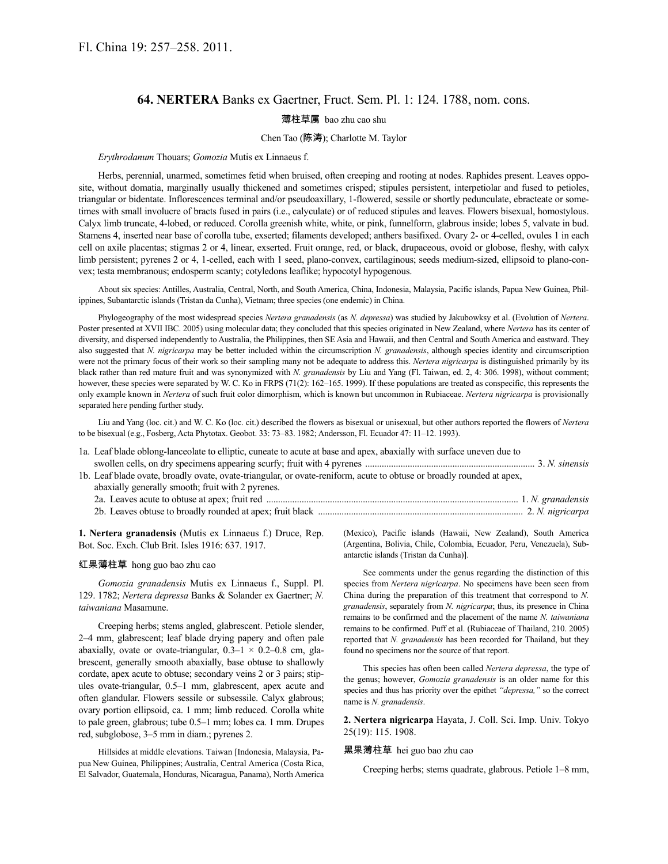# **64. NERTERA** Banks ex Gaertner, Fruct. Sem. Pl. 1: 124. 1788, nom. cons.

# 薄柱草属 bao zhu cao shu

## Chen Tao (陈涛); Charlotte M. Taylor

#### *Erythrodanum* Thouars; *Gomozia* Mutis ex Linnaeus f.

Herbs, perennial, unarmed, sometimes fetid when bruised, often creeping and rooting at nodes. Raphides present. Leaves opposite, without domatia, marginally usually thickened and sometimes crisped; stipules persistent, interpetiolar and fused to petioles, triangular or bidentate. Inflorescences terminal and/or pseudoaxillary, 1-flowered, sessile or shortly pedunculate, ebracteate or sometimes with small involucre of bracts fused in pairs (i.e., calyculate) or of reduced stipules and leaves. Flowers bisexual, homostylous. Calyx limb truncate, 4-lobed, or reduced. Corolla greenish white, white, or pink, funnelform, glabrous inside; lobes 5, valvate in bud. Stamens 4, inserted near base of corolla tube, exserted; filaments developed; anthers basifixed. Ovary 2- or 4-celled, ovules 1 in each cell on axile placentas; stigmas 2 or 4, linear, exserted. Fruit orange, red, or black, drupaceous, ovoid or globose, fleshy, with calyx limb persistent; pyrenes 2 or 4, 1-celled, each with 1 seed, plano-convex, cartilaginous; seeds medium-sized, ellipsoid to plano-convex; testa membranous; endosperm scanty; cotyledons leaflike; hypocotyl hypogenous.

About six species: Antilles, Australia, Central, North, and South America, China, Indonesia, Malaysia, Pacific islands, Papua New Guinea, Philippines, Subantarctic islands (Tristan da Cunha), Vietnam; three species (one endemic) in China.

Phylogeography of the most widespread species *Nertera granadensis* (as *N. depressa*) was studied by Jakubowksy et al. (Evolution of *Nertera*. Poster presented at XVII IBC. 2005) using molecular data; they concluded that this species originated in New Zealand, where *Nertera* has its center of diversity, and dispersed independently to Australia, the Philippines, then SE Asia and Hawaii, and then Central and South America and eastward. They also suggested that *N. nigricarpa* may be better included within the circumscription *N. granadensis*, although species identity and circumscription were not the primary focus of their work so their sampling many not be adequate to address this. *Nertera nigricarpa* is distinguished primarily by its black rather than red mature fruit and was synonymized with *N. granadensis* by Liu and Yang (Fl. Taiwan, ed. 2, 4: 306. 1998), without comment; however, these species were separated by W. C. Ko in FRPS (71(2): 162–165. 1999). If these populations are treated as conspecific, this represents the only example known in *Nertera* of such fruit color dimorphism, which is known but uncommon in Rubiaceae. *Nertera nigricarpa* is provisionally separated here pending further study.

Liu and Yang (loc. cit.) and W. C. Ko (loc. cit.) described the flowers as bisexual or unisexual, but other authors reported the flowers of *Nertera* to be bisexual (e.g., Fosberg, Acta Phytotax. Geobot. 33: 73–83. 1982; Andersson, Fl. Ecuador 47: 11–12. 1993).

| 1a. Leaf blade oblong-lanceolate to elliptic, cuneate to acute at base and apex, abaxially with surface uneven due to |  |
|-----------------------------------------------------------------------------------------------------------------------|--|
|                                                                                                                       |  |
| 1b. Leaf blade ovate, broadly ovate, ovate-triangular, or ovate-reniform, acute to obtuse or broadly rounded at apex, |  |
| abaxially generally smooth; fruit with 2 pyrenes.                                                                     |  |
|                                                                                                                       |  |
|                                                                                                                       |  |

**1. Nertera granadensis** (Mutis ex Linnaeus f.) Druce, Rep. Bot. Soc. Exch. Club Brit. Isles 1916: 637. 1917.

### 红果薄柱草 hong guo bao zhu cao

*Gomozia granadensis* Mutis ex Linnaeus f., Suppl. Pl. 129. 1782; *Nertera depressa* Banks & Solander ex Gaertner; *N. taiwaniana* Masamune.

Creeping herbs; stems angled, glabrescent. Petiole slender, 2–4 mm, glabrescent; leaf blade drying papery and often pale abaxially, ovate or ovate-triangular,  $0.3-1 \times 0.2-0.8$  cm, glabrescent, generally smooth abaxially, base obtuse to shallowly cordate, apex acute to obtuse; secondary veins 2 or 3 pairs; stipules ovate-triangular, 0.5–1 mm, glabrescent, apex acute and often glandular. Flowers sessile or subsessile. Calyx glabrous; ovary portion ellipsoid, ca. 1 mm; limb reduced. Corolla white to pale green, glabrous; tube 0.5–1 mm; lobes ca. 1 mm. Drupes red, subglobose, 3–5 mm in diam.; pyrenes 2.

Hillsides at middle elevations. Taiwan [Indonesia, Malaysia, Papua New Guinea, Philippines; Australia, Central America (Costa Rica, El Salvador, Guatemala, Honduras, Nicaragua, Panama), North America (Mexico), Pacific islands (Hawaii, New Zealand), South America (Argentina, Bolivia, Chile, Colombia, Ecuador, Peru, Venezuela), Subantarctic islands (Tristan da Cunha)].

See comments under the genus regarding the distinction of this species from *Nertera nigricarpa*. No specimens have been seen from China during the preparation of this treatment that correspond to *N. granadensis*, separately from *N. nigricarpa*; thus, its presence in China remains to be confirmed and the placement of the name *N. taiwaniana* remains to be confirmed. Puff et al. (Rubiaceae of Thailand, 210. 2005) reported that *N. granadensis* has been recorded for Thailand, but they found no specimens nor the source of that report.

This species has often been called *Nertera depressa*, the type of the genus; however, *Gomozia granadensis* is an older name for this species and thus has priority over the epithet *"depressa,"* so the correct name is *N. granadensis*.

**2. Nertera nigricarpa** Hayata, J. Coll. Sci. Imp. Univ. Tokyo 25(19): 115. 1908.

### 黑果薄柱草 hei guo bao zhu cao

Creeping herbs; stems quadrate, glabrous. Petiole 1–8 mm,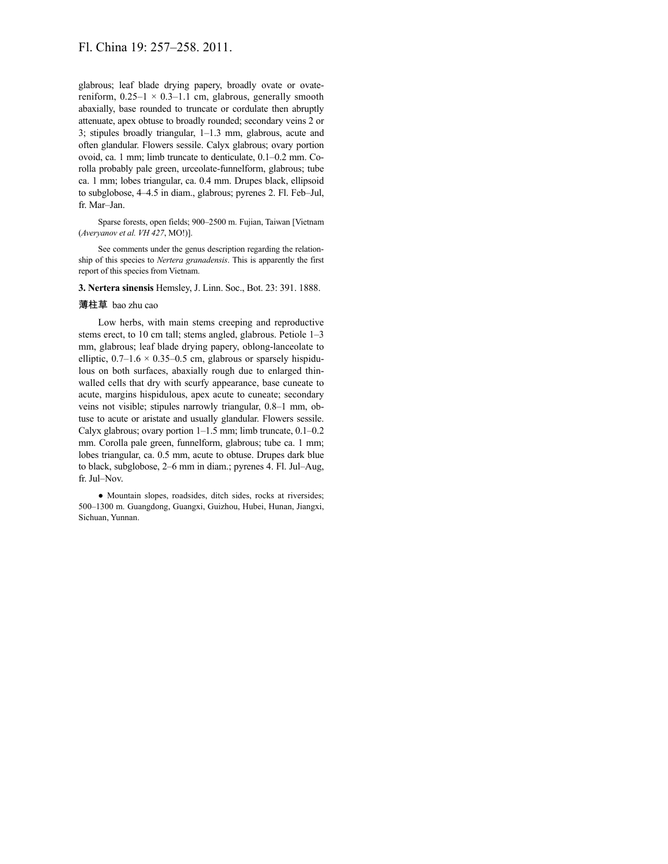glabrous; leaf blade drying papery, broadly ovate or ovatereniform,  $0.25-1 \times 0.3-1.1$  cm, glabrous, generally smooth abaxially, base rounded to truncate or cordulate then abruptly attenuate, apex obtuse to broadly rounded; secondary veins 2 or 3; stipules broadly triangular, 1–1.3 mm, glabrous, acute and often glandular. Flowers sessile. Calyx glabrous; ovary portion ovoid, ca. 1 mm; limb truncate to denticulate, 0.1–0.2 mm. Corolla probably pale green, urceolate-funnelform, glabrous; tube ca. 1 mm; lobes triangular, ca. 0.4 mm. Drupes black, ellipsoid to subglobose, 4–4.5 in diam., glabrous; pyrenes 2. Fl. Feb–Jul, fr. Mar–Jan.

Sparse forests, open fields; 900–2500 m. Fujian, Taiwan [Vietnam (*Averyanov et al. VH 427*, MO!)].

See comments under the genus description regarding the relationship of this species to *Nertera granadensis*. This is apparently the first report of this species from Vietnam.

**3. Nertera sinensis** Hemsley, J. Linn. Soc., Bot. 23: 391. 1888.

### 薄柱草 bao zhu cao

Low herbs, with main stems creeping and reproductive stems erect, to 10 cm tall; stems angled, glabrous. Petiole 1–3 mm, glabrous; leaf blade drying papery, oblong-lanceolate to elliptic,  $0.7-1.6 \times 0.35-0.5$  cm, glabrous or sparsely hispidulous on both surfaces, abaxially rough due to enlarged thinwalled cells that dry with scurfy appearance, base cuneate to acute, margins hispidulous, apex acute to cuneate; secondary veins not visible; stipules narrowly triangular, 0.8–1 mm, obtuse to acute or aristate and usually glandular. Flowers sessile. Calyx glabrous; ovary portion 1–1.5 mm; limb truncate, 0.1–0.2 mm. Corolla pale green, funnelform, glabrous; tube ca. 1 mm; lobes triangular, ca. 0.5 mm, acute to obtuse. Drupes dark blue to black, subglobose, 2–6 mm in diam.; pyrenes 4. Fl. Jul–Aug, fr. Jul–Nov.

● Mountain slopes, roadsides, ditch sides, rocks at riversides; 500–1300 m. Guangdong, Guangxi, Guizhou, Hubei, Hunan, Jiangxi, Sichuan, Yunnan.